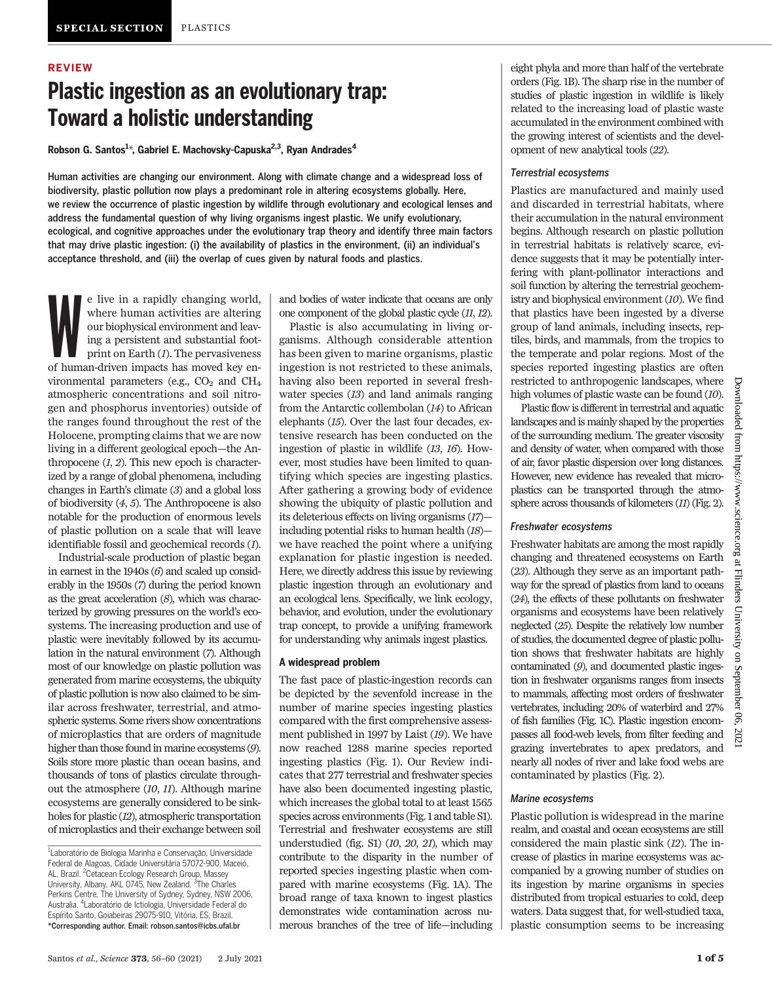### REVIEW

# Plastic ingestion as an evolutionary trap: Toward a holistic understanding

Robson G. Santos<sup>1</sup>\*, Gabriel E. Machovsky-Capuska<sup>2,3</sup>, Ryan Andrades<sup>4</sup>

Human activities are changing our environment. Along with climate change and a widespread loss of biodiversity, plastic pollution now plays a predominant role in altering ecosystems globally. Here, we review the occurrence of plastic ingestion by wildlife through evolutionary and ecological lenses and address the fundamental question of why living organisms ingest plastic. We unify evolutionary, ecological, and cognitive approaches under the evolutionary trap theory and identify three main factors that may drive plastic ingestion: (i) the availability of plastics in the environment, (ii) an individual's acceptance threshold, and (iii) the overlap of cues given by natural foods and plastics.

e live in a rapidly changing world, where human activities are altering our biophysical environment and leaving a persistent and substantial footprint on Earth (*I*). The pervasiveness of human-driven impacts has moved key e live in a rapidly changing world, where human activities are altering our biophysical environment and leaving a persistent and substantial footprint on Earth (1). The pervasiveness vironmental parameters (e.g.,  $CO<sub>2</sub>$  and  $CH<sub>4</sub>$ atmospheric concentrations and soil nitrogen and phosphorus inventories) outside of the ranges found throughout the rest of the Holocene, prompting claims that we are now living in a different geological epoch—the Anthropocene  $(1, 2)$ . This new epoch is characterized by a range of global phenomena, including changes in Earth's climate (3) and a global loss of biodiversity (4, 5). The Anthropocene is also notable for the production of enormous levels of plastic pollution on a scale that will leave identifiable fossil and geochemical records (1).

Industrial-scale production of plastic began in earnest in the 1940s (6) and scaled up considerably in the 1950s (7) during the period known as the great acceleration  $(8)$ , which was characterized by growing pressures on the world's ecosystems. The increasing production and use of plastic were inevitably followed by its accumulation in the natural environment (7). Although most of our knowledge on plastic pollution was generated from marine ecosystems, the ubiquity of plastic pollution is now also claimed to be similar across freshwater, terrestrial, and atmospheric systems. Some rivers show concentrations of microplastics that are orders of magnitude higher than those found in marine ecosystems  $(9)$ . Soils store more plastic than ocean basins, and thousands of tons of plastics circulate throughout the atmosphere (10, 11). Although marine ecosystems are generally considered to be sinkholes for plastic (12), atmospheric transportation of microplastics and their exchange between soil

and bodies of water indicate that oceans are only one component of the global plastic cycle (11, 12).

Plastic is also accumulating in living organisms. Although considerable attention has been given to marine organisms, plastic ingestion is not restricted to these animals, having also been reported in several freshwater species (13) and land animals ranging from the Antarctic collembolan (14) to African elephants (15). Over the last four decades, extensive research has been conducted on the ingestion of plastic in wildlife (13, 16). However, most studies have been limited to quantifying which species are ingesting plastics. After gathering a growing body of evidence showing the ubiquity of plastic pollution and its deleterious effects on living organisms (17) including potential risks to human health (18) we have reached the point where a unifying explanation for plastic ingestion is needed. Here, we directly address this issue by reviewing plastic ingestion through an evolutionary and an ecological lens. Specifically, we link ecology, behavior, and evolution, under the evolutionary trap concept, to provide a unifying framework for understanding why animals ingest plastics.

#### A widespread problem

The fast pace of plastic-ingestion records can be depicted by the sevenfold increase in the number of marine species ingesting plastics compared with the first comprehensive assessment published in 1997 by Laist (19). We have now reached 1288 marine species reported ingesting plastics (Fig. 1). Our Review indicates that 277 terrestrial and freshwater species have also been documented ingesting plastic, which increases the global total to at least 1565 species across environments (Fig. 1 and table S1). Terrestrial and freshwater ecosystems are still understudied (fig. S1) (10, 20, 21), which may contribute to the disparity in the number of reported species ingesting plastic when compared with marine ecosystems (Fig. 1A). The broad range of taxa known to ingest plastics demonstrates wide contamination across numerous branches of the tree of life—including

eight phyla and more than half of the vertebrate orders (Fig. 1B). The sharp rise in the number of studies of plastic ingestion in wildlife is likely related to the increasing load of plastic waste accumulated in the environment combined with the growing interest of scientists and the development of new analytical tools (22).

#### Terrestrial ecosystems

Plastics are manufactured and mainly used and discarded in terrestrial habitats, where their accumulation in the natural environment begins. Although research on plastic pollution in terrestrial habitats is relatively scarce, evidence suggests that it may be potentially interfering with plant-pollinator interactions and soil function by altering the terrestrial geochemistry and biophysical environment (10). We find that plastics have been ingested by a diverse group of land animals, including insects, reptiles, birds, and mammals, from the tropics to the temperate and polar regions. Most of the species reported ingesting plastics are often restricted to anthropogenic landscapes, where high volumes of plastic waste can be found (10).

Plastic flow is different in terrestrial and aquatic landscapes and is mainly shaped by the properties of the surrounding medium. The greater viscosity and density of water, when compared with those of air, favor plastic dispersion over long distances. However, new evidence has revealed that microplastics can be transported through the atmosphere across thousands of kilometers (11) (Fig. 2).

#### Freshwater ecosystems

Freshwater habitats are among the most rapidly changing and threatened ecosystems on Earth (23). Although they serve as an important pathway for the spread of plastics from land to oceans (24), the effects of these pollutants on freshwater organisms and ecosystems have been relatively neglected (25). Despite the relatively low number of studies, the documented degree of plastic pollution shows that freshwater habitats are highly contaminated (9), and documented plastic ingestion in freshwater organisms ranges from insects to mammals, affecting most orders of freshwater vertebrates, including 20% of waterbird and 27% of fish families (Fig. 1C). Plastic ingestion encompasses all food-web levels, from filter feeding and grazing invertebrates to apex predators, and nearly all nodes of river and lake food webs are contaminated by plastics (Fig. 2).

## Marine ecosystems

Plastic pollution is widespread in the marine realm, and coastal and ocean ecosystems are still considered the main plastic sink (12). The increase of plastics in marine ecosystems was accompanied by a growing number of studies on its ingestion by marine organisms in species distributed from tropical estuaries to cold, deep waters. Data suggest that, for well-studied taxa, plastic consumption seems to be increasing

<sup>&</sup>lt;sup>1</sup>Laboratório de Biologia Marinha e Conservação, Universidade Federal de Alagoas, Cidade Universitária 57072-900, Maceió, AL, Brazil. <sup>2</sup>Cetacean Ecology Research Group, Massey University, Albany, AKL 0745, New Zealand. <sup>3</sup>The Charles Perkins Centre, The University of Sydney, Sydney, NSW 2006, Australia. <sup>4</sup> Laboratório de Ictiologia, Universidade Federal do Espírito Santo, Goiabeiras 29075-910, Vitória, ES, Brazil. \*Corresponding author. Email: robson.santos@icbs.ufal.br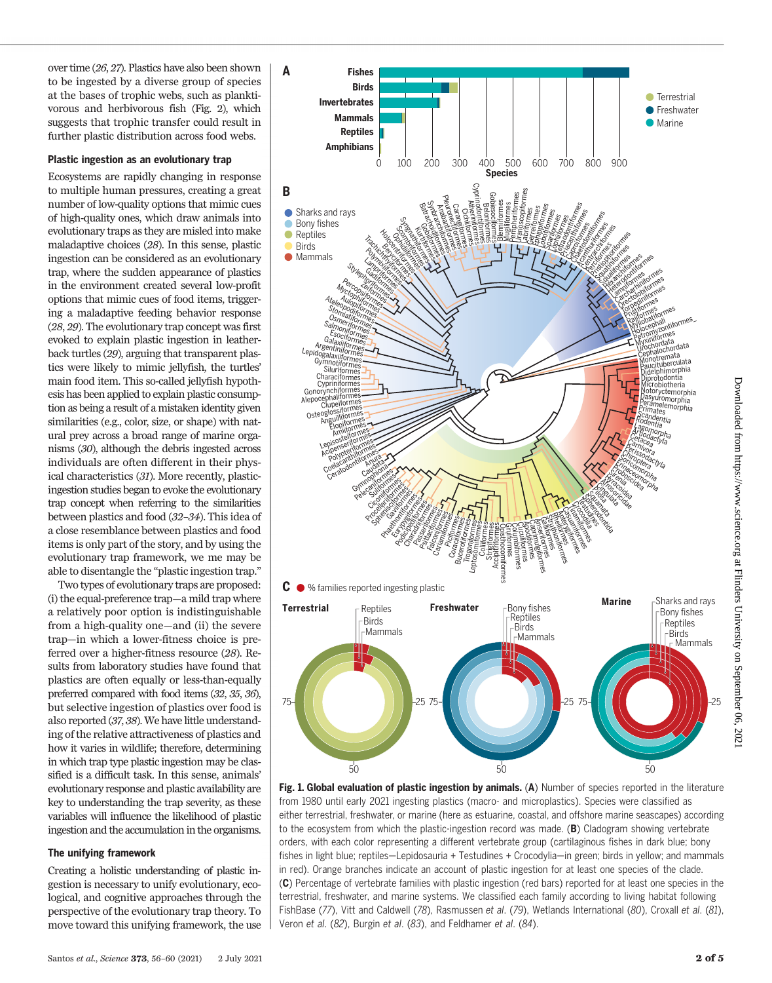over time (26, 27). Plastics have also been shown to be ingested by a diverse group of species at the bases of trophic webs, such as planktivorous and herbivorous fish (Fig. 2), which suggests that trophic transfer could result in further plastic distribution across food webs.

### Plastic ingestion as an evolutionary trap

Ecosystems are rapidly changing in response to multiple human pressures, creating a great number of low-quality options that mimic cues of high-quality ones, which draw animals into evolutionary traps as they are misled into make maladaptive choices (28). In this sense, plastic ingestion can be considered as an evolutionary trap, where the sudden appearance of plastics in the environment created several low-profit options that mimic cues of food items, triggering a maladaptive feeding behavior response (28, 29). The evolutionary trap concept was first evoked to explain plastic ingestion in leatherback turtles (29), arguing that transparent plastics were likely to mimic jellyfish, the turtles' main food item. This so-called jellyfish hypothesis has been applied to explain plastic consumption as being a result of a mistaken identity given similarities (e.g., color, size, or shape) with natural prey across a broad range of marine organisms (30), although the debris ingested across individuals are often different in their physical characteristics (31). More recently, plasticingestion studies began to evoke the evolutionary trap concept when referring to the similarities between plastics and food (32–34). This idea of a close resemblance between plastics and food items is only part of the story, and by using the evolutionary trap framework, we me may be able to disentangle the "plastic ingestion trap."

Two types of evolutionary traps are proposed: (i) the equal-preference trap—a mild trap where a relatively poor option is indistinguishable from a high-quality one—and (ii) the severe trap—in which a lower-fitness choice is preferred over a higher-fitness resource (28). Results from laboratory studies have found that plastics are often equally or less-than-equally preferred compared with food items (32, 35, 36), but selective ingestion of plastics over food is also reported (37, 38). We have little understanding of the relative attractiveness of plastics and how it varies in wildlife; therefore, determining in which trap type plastic ingestion may be classified is a difficult task. In this sense, animals' evolutionary response and plastic availability are key to understanding the trap severity, as these variables will influence the likelihood of plastic ingestion and the accumulation in the organisms.

## The unifying framework

Creating a holistic understanding of plastic ingestion is necessary to unify evolutionary, ecological, and cognitive approaches through the perspective of the evolutionary trap theory. To move toward this unifying framework, the use



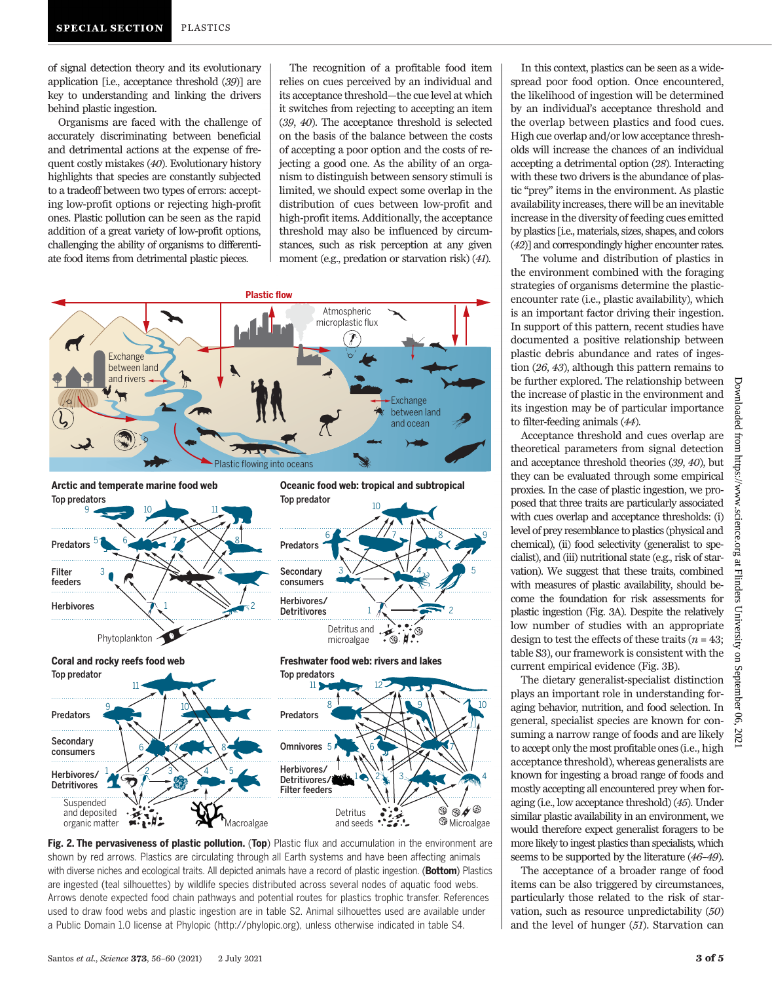of signal detection theory and its evolutionary application [i.e., acceptance threshold (39)] are key to understanding and linking the drivers behind plastic ingestion.

Organisms are faced with the challenge of accurately discriminating between beneficial and detrimental actions at the expense of frequent costly mistakes (40). Evolutionary history highlights that species are constantly subjected to a tradeoff between two types of errors: accepting low-profit options or rejecting high-profit ones. Plastic pollution can be seen as the rapid addition of a great variety of low-profit options, challenging the ability of organisms to differentiate food items from detrimental plastic pieces.

The recognition of a profitable food item relies on cues perceived by an individual and its acceptance threshold—the cue level at which it switches from rejecting to accepting an item (39, 40). The acceptance threshold is selected on the basis of the balance between the costs of accepting a poor option and the costs of rejecting a good one. As the ability of an organism to distinguish between sensory stimuli is limited, we should expect some overlap in the distribution of cues between low-profit and high-profit items. Additionally, the acceptance threshold may also be influenced by circumstances, such as risk perception at any given moment (e.g., predation or starvation risk) (41).





In this context, plastics can be seen as a widespread poor food option. Once encountered, the likelihood of ingestion will be determined by an individual's acceptance threshold and the overlap between plastics and food cues. High cue overlap and/or low acceptance thresholds will increase the chances of an individual accepting a detrimental option (28). Interacting with these two drivers is the abundance of plastic "prey" items in the environment. As plastic availability increases, there will be an inevitable increase in the diversity of feeding cues emitted by plastics [i.e., materials, sizes, shapes, and colors (42)] and correspondingly higher encounter rates.

The volume and distribution of plastics in the environment combined with the foraging strategies of organisms determine the plasticencounter rate (i.e., plastic availability), which is an important factor driving their ingestion. In support of this pattern, recent studies have documented a positive relationship between plastic debris abundance and rates of ingestion (26, 43), although this pattern remains to be further explored. The relationship between the increase of plastic in the environment and its ingestion may be of particular importance to filter-feeding animals (44).

Acceptance threshold and cues overlap are theoretical parameters from signal detection and acceptance threshold theories (39, 40), but they can be evaluated through some empirical proxies. In the case of plastic ingestion, we proposed that three traits are particularly associated with cues overlap and acceptance thresholds: (i) level of prey resemblance to plastics (physical and chemical), (ii) food selectivity (generalist to specialist), and (iii) nutritional state (e.g., risk of starvation). We suggest that these traits, combined with measures of plastic availability, should become the foundation for risk assessments for plastic ingestion (Fig. 3A). Despite the relatively low number of studies with an appropriate design to test the effects of these traits ( $n = 43$ ; table S3), our framework is consistent with the current empirical evidence (Fig. 3B).

The dietary generalist-specialist distinction plays an important role in understanding foraging behavior, nutrition, and food selection. In general, specialist species are known for consuming a narrow range of foods and are likely to accept only the most profitable ones (i.e., high acceptance threshold), whereas generalists are known for ingesting a broad range of foods and mostly accepting all encountered prey when foraging (i.e., low acceptance threshold) (45). Under similar plastic availability in an environment, we would therefore expect generalist foragers to be more likely to ingest plastics than specialists, which seems to be supported by the literature (46–49).

The acceptance of a broader range of food items can be also triggered by circumstances, particularly those related to the risk of starvation, such as resource unpredictability (50) and the level of hunger (51). Starvation can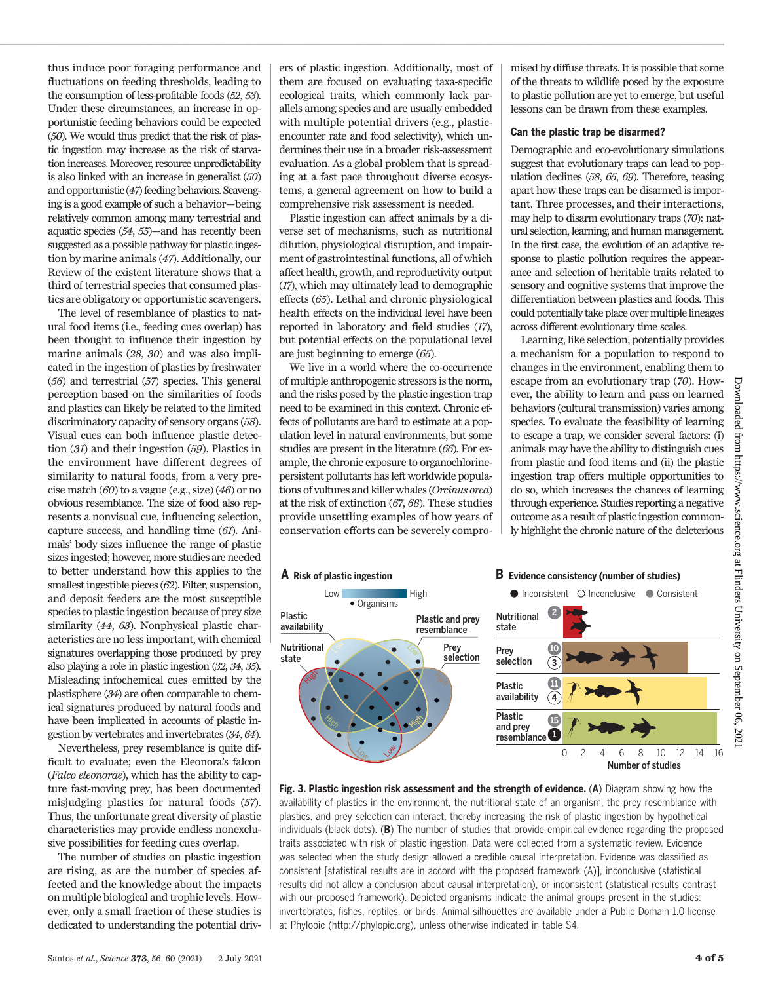thus induce poor foraging performance and fluctuations on feeding thresholds, leading to the consumption of less-profitable foods (52, 53). Under these circumstances, an increase in opportunistic feeding behaviors could be expected (50). We would thus predict that the risk of plastic ingestion may increase as the risk of starvation increases. Moreover, resource unpredictability is also linked with an increase in generalist (50) and opportunistic (47) feeding behaviors. Scavenging is a good example of such a behavior—being relatively common among many terrestrial and aquatic species (54, 55)—and has recently been suggested as a possible pathway for plastic ingestion by marine animals (47). Additionally, our Review of the existent literature shows that a third of terrestrial species that consumed plastics are obligatory or opportunistic scavengers.

The level of resemblance of plastics to natural food items (i.e., feeding cues overlap) has been thought to influence their ingestion by marine animals (28, 30) and was also implicated in the ingestion of plastics by freshwater (56) and terrestrial (57) species. This general perception based on the similarities of foods and plastics can likely be related to the limited discriminatory capacity of sensory organs (58). Visual cues can both influence plastic detection (31) and their ingestion (59). Plastics in the environment have different degrees of similarity to natural foods, from a very precise match  $(60)$  to a vague (e.g., size)  $(46)$  or no obvious resemblance. The size of food also represents a nonvisual cue, influencing selection, capture success, and handling time (61). Animals' body sizes influence the range of plastic sizes ingested; however, more studies are needed to better understand how this applies to the smallest ingestible pieces (62). Filter, suspension, and deposit feeders are the most susceptible species to plastic ingestion because of prey size similarity (44, 63). Nonphysical plastic characteristics are no less important, with chemical signatures overlapping those produced by prey also playing a role in plastic ingestion (32, 34, 35). Misleading infochemical cues emitted by the plastisphere (34) are often comparable to chemical signatures produced by natural foods and have been implicated in accounts of plastic ingestion by vertebrates and invertebrates (34, 64).

Nevertheless, prey resemblance is quite difficult to evaluate; even the Eleonora's falcon (Falco eleonorae), which has the ability to capture fast-moving prey, has been documented misjudging plastics for natural foods (57). Thus, the unfortunate great diversity of plastic characteristics may provide endless nonexclusive possibilities for feeding cues overlap.

The number of studies on plastic ingestion are rising, as are the number of species affected and the knowledge about the impacts on multiple biological and trophic levels. However, only a small fraction of these studies is dedicated to understanding the potential driv-

ers of plastic ingestion. Additionally, most of them are focused on evaluating taxa-specific ecological traits, which commonly lack parallels among species and are usually embedded with multiple potential drivers (e.g., plasticencounter rate and food selectivity), which undermines their use in a broader risk-assessment evaluation. As a global problem that is spreading at a fast pace throughout diverse ecosystems, a general agreement on how to build a comprehensive risk assessment is needed.

Plastic ingestion can affect animals by a diverse set of mechanisms, such as nutritional dilution, physiological disruption, and impairment of gastrointestinal functions, all of which affect health, growth, and reproductivity output (17), which may ultimately lead to demographic effects (65). Lethal and chronic physiological health effects on the individual level have been reported in laboratory and field studies (17), but potential effects on the populational level are just beginning to emerge (65).

We live in a world where the co-occurrence of multiple anthropogenic stressors is the norm, and the risks posed by the plastic ingestion trap need to be examined in this context. Chronic effects of pollutants are hard to estimate at a population level in natural environments, but some studies are present in the literature (66). For example, the chronic exposure to organochlorinepersistent pollutants has left worldwide populations of vultures and killer whales (Orcinus orca) at the risk of extinction (67, 68). These studies provide unsettling examples of how years of conservation efforts can be severely compro-

mised by diffuse threats. It is possible that some of the threats to wildlife posed by the exposure to plastic pollution are yet to emerge, but useful lessons can be drawn from these examples.

#### Can the plastic trap be disarmed?

Demographic and eco-evolutionary simulations suggest that evolutionary traps can lead to population declines (58, 65, 69). Therefore, teasing apart how these traps can be disarmed is important. Three processes, and their interactions, may help to disarm evolutionary traps (70): natural selection, learning, and human management. In the first case, the evolution of an adaptive response to plastic pollution requires the appearance and selection of heritable traits related to sensory and cognitive systems that improve the differentiation between plastics and foods. This could potentially take place over multiple lineages across different evolutionary time scales.

Learning, like selection, potentially provides a mechanism for a population to respond to changes in the environment, enabling them to escape from an evolutionary trap (70). However, the ability to learn and pass on learned behaviors (cultural transmission) varies among species. To evaluate the feasibility of learning to escape a trap, we consider several factors: (i) animals may have the ability to distinguish cues from plastic and food items and (ii) the plastic ingestion trap offers multiple opportunities to do so, which increases the chances of learning through experience. Studies reporting a negative outcome as a result of plastic ingestion commonly highlight the chronic nature of the deleterious



Fig. 3. Plastic ingestion risk assessment and the strength of evidence. (A) Diagram showing how the availability of plastics in the environment, the nutritional state of an organism, the prey resemblance with plastics, and prey selection can interact, thereby increasing the risk of plastic ingestion by hypothetical individuals (black dots). (B) The number of studies that provide empirical evidence regarding the proposed traits associated with risk of plastic ingestion. Data were collected from a systematic review. Evidence was selected when the study design allowed a credible causal interpretation. Evidence was classified as consistent [statistical results are in accord with the proposed framework (A)], inconclusive (statistical results did not allow a conclusion about causal interpretation), or inconsistent (statistical results contrast with our proposed framework). Depicted organisms indicate the animal groups present in the studies: invertebrates, fishes, reptiles, or birds. Animal silhouettes are available under a Public Domain 1.0 license at Phylopic [\(http://phylopic.org\)](http://www.fishbase.org), unless otherwise indicated in table S4.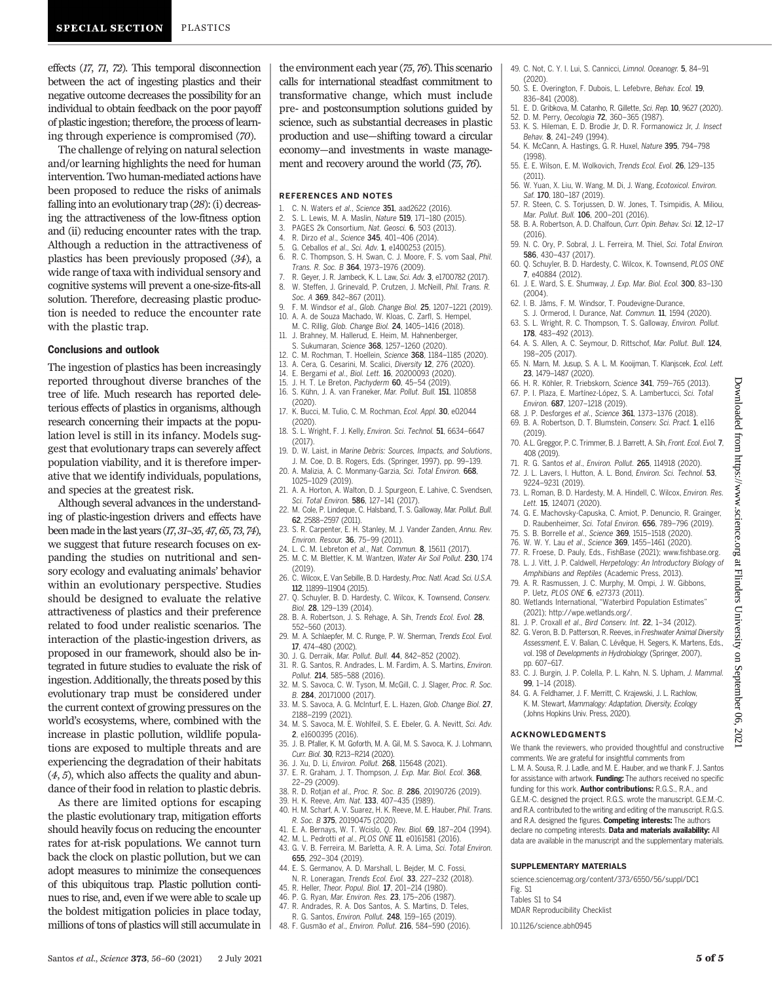effects (17, 71, 72). This temporal disconnection between the act of ingesting plastics and their negative outcome decreases the possibility for an individual to obtain feedback on the poor payoff of plastic ingestion; therefore, the process of learning through experience is compromised (70).

The challenge of relying on natural selection and/or learning highlights the need for human intervention. Two human-mediated actions have been proposed to reduce the risks of animals falling into an evolutionary trap (28): (i) decreasing the attractiveness of the low-fitness option and (ii) reducing encounter rates with the trap. Although a reduction in the attractiveness of plastics has been previously proposed (34), a wide range of taxa with individual sensory and cognitive systems will prevent a one-size-fits-all solution. Therefore, decreasing plastic production is needed to reduce the encounter rate with the plastic trap.

#### Conclusions and outlook

The ingestion of plastics has been increasingly reported throughout diverse branches of the tree of life. Much research has reported deleterious effects of plastics in organisms, although research concerning their impacts at the population level is still in its infancy. Models suggest that evolutionary traps can severely affect population viability, and it is therefore imperative that we identify individuals, populations, and species at the greatest risk.

Although several advances in the understanding of plastic-ingestion drivers and effects have been made in the last years (17, 31-35, 47, 65, 73, 74), we suggest that future research focuses on expanding the studies on nutritional and sensory ecology and evaluating animals' behavior within an evolutionary perspective. Studies should be designed to evaluate the relative attractiveness of plastics and their preference related to food under realistic scenarios. The interaction of the plastic-ingestion drivers, as proposed in our framework, should also be integrated in future studies to evaluate the risk of ingestion. Additionally, the threats posed by this evolutionary trap must be considered under the current context of growing pressures on the world's ecosystems, where, combined with the increase in plastic pollution, wildlife populations are exposed to multiple threats and are experiencing the degradation of their habitats (4, 5), which also affects the quality and abundance of their food in relation to plastic debris.

As there are limited options for escaping the plastic evolutionary trap, mitigation efforts should heavily focus on reducing the encounter rates for at-risk populations. We cannot turn back the clock on plastic pollution, but we can adopt measures to minimize the consequences of this ubiquitous trap. Plastic pollution continues to rise, and, even if we were able to scale up the boldest mitigation policies in place today, millions of tons of plastics will still accumulate in

the environment each year (75, 76). This scenario calls for international steadfast commitment to transformative change, which must include pre- and postconsumption solutions guided by science, such as substantial decreases in plastic production and use—shifting toward a circular economy—and investments in waste management and recovery around the world (75, 76).

#### REFERENCES AND NOTES

- 1. C. N. Waters et al., Science 351, aad2622 (2016).
- 2. S. L. Lewis, M. A. Maslin, Nature 519, 171–180 (2015).
- 3. PAGES 2k Consortium, Nat. Geosci. 6, 503 (2013).
- 4. R. Dirzo et al., Science 345, 401–406 (2014).
- 5. G. Ceballos et al., Sci. Adv. 1, e1400253 (2015).
- 6. R. C. Thompson, S. H. Swan, C. J. Moore, F. S. vom Saal, Phil. Trans. R. Soc. B 364, 1973–1976 (2009).
- 7. R. Geyer, J. R. Jambeck, K. L. Law, Sci. Adv. 3, e1700782 (2017).<br>8. W. Steffen, J. Grinevald, P. Crutzen, J. McNeill, *Phil. Trans, R.* 8. W. Steffen, J. Grinevald, P. Crutzen, J. McNeill, Phil. Trans. R. Soc. A 369, 842-867 (2011).
- 9. F. M. Windsor et al., Glob. Change Biol. 25, 1207–1221 (2019). 10. A. A. de Souza Machado, W. Kloas, C. Zarfl, S. Hempel,
- M. C. Rillig, Glob. Change Biol. 24, 1405–1416 (2018). J. Brahney, M. Hallerud, E. Heim, M. Hahnenberger,
- Sukumaran, Science 368, 1257-1260 (2020).
- 12. C. M. Rochman, T. Hoellein, Science 368, 1184–1185 (2020).
- 13. A. Cera, G. Cesarini, M. Scalici, Diversity 12, 276 (2020).
- 
- 16. S. Kühn, J. A. van Franeker, Mar. Pollut. Bull. 151, 110858
- 17. K. Bucci, M. Tulio, C. M. Rochman, Ecol. Appl. 30, e02044
- (2020). 18. S. L. Wright, F. J. Kelly, Environ. Sci. Technol. **51**, 6634-6647 (2017).
- 19. D. W. Laist, in Marine Debris: Sources, Impacts, and Solutions, J. M. Coe, D. B. Rogers, Eds. (Springer, 1997), pp. 99–139.
- 20. A. Malizia, A. C. Monmany-Garzia, Sci. Total Environ. 668, 1025–1029 (2019).
- 21. A. A. Horton, A. Walton, D. J. Spurgeon, E. Lahive, C. Svendsen, Sci. Total Environ. 586, 127-141 (2017).
- 22. M. Cole, P. Lindeque, C. Halsband, T. S. Galloway, Mar. Pollut. Bull. 62, 2588–2597 (2011).
- 23. S. R. Carpenter, E. H. Stanley, M. J. Vander Zanden, Annu. Rev. Environ. Resour. 36, 75–99 (2011).
- 24. L. C. M. Lebreton et al., Nat. Commun. 8, 15611 (2017).
- 25. M. C. M. Blettler, K. M. Wantzen, Water Air Soil Pollut. 230, 174 (2019).
- 26. C. Wilcox, E. Van Sebille, B. D. Hardesty, Proc. Natl. Acad. Sci. U.S.A. 112, 11899–11904 (2015).
- 27. Q. Schuyler, B. D. Hardesty, C. Wilcox, K. Townsend, Conserv. Biol. 28, 129–139 (2014).
- 28. B. A. Robertson, J. S. Rehage, A. Sih, Trends Ecol. Evol. 28, 552–560 (2013).
- 29. M. A. Schlaepfer, M. C. Runge, P. W. Sherman, Trends Ecol. Evol. 17, 474–480 (2002).
- 30. J. G. Derraik, Mar. Pollut. Bull. 44, 842–852 (2002).
- 31. R. G. Santos, R. Andrades, L. M. Fardim, A. S. Martins, Environ.
- Pollut. 214, 585–588 (2016). 32. M. S. Savoca, C. W. Tyson, M. McGill, C. J. Slager, Proc. R. Soc. B. 284, 20171000 (2017).
- 33. M. S. Savoca, A. G. McInturf, E. L. Hazen, Glob. Change Biol. 27, 2188–2199 (2021).
- 34. M. S. Savoca, M. E. Wohlfeil, S. E. Ebeler, G. A. Nevitt, Sci. Adv. 2, e1600395 (2016).
- 35. J. B. Pfaller, K. M. Goforth, M. A. Gil, M. S. Savoca, K. J. Lohmann, Curr. Biol. 30, R213–R214 (2020).
- 36. J. Xu, D. Li, Environ. Pollut. 268, 115648 (2021).
- 37. E. R. Graham, J. T. Thompson, J. Exp. Mar. Biol. Ecol. 368, 22–29 (2009).
- 38. R. D. Rotjan e*t al., Proc. R. Soc. B. 286, 20190726 (2019).*<br>39. H. K. Reeve, *Am. Nat*. **133**, 407–435 (1989).
- 40. H. M. Scharf, A. V. Suarez, H. K. Reeve, M. E. Hauber, Phil. Trans.
- R. Soc. B 375, 20190475 (2020). 41. E. A. Bernays, W. T. Wcislo, Q. Rev. Biol. 69, 187–204 (1994).
- 42. M. L. Pedrotti et al., PLOS ONE 11, e0161581 (2016).
- 43. G. V. B. Ferreira, M. Barletta, A. R. A. Lima, Sci. Total Environ. 655, 292–304 (2019).
- 44. E. S. Germanov, A. D. Marshall, L. Bejder, M. C. Fossi, N. R. Loneragan, Trends Ecol. Evol. 33, 227–232 (2018).
- 45. R. Heller, Theor. Popul. Biol. 17, 201–214 (1980).
- 46. P. G. Ryan, Mar. Environ. Res. 23, 175–206 (1987).
- 47. R. Andrades, R. A. Dos Santos, A. S. Martins, D. Teles, R. G. Santos, Environ. Pollut. 248, 159–165 (2019).
- 48. F. Gusmão et al., Environ. Pollut. 216, 584–590 (2016).
- 49. C. Not, C. Y. I. Lui, S. Cannicci, Limnol. Oceanogr. 5, 84–91 (2020).
- 50. S. E. Overington, F. Dubois, L. Lefebvre, Behav. Ecol. 19, 836–841 (2008).
- 51. E. D. Gribkova, M. Catanho, R. Gillette, Sci. Rep. 10, 9627 (2020).
- 52. D. M. Perry, Oecologia 72, 360–365 (1987). 53. K. S. Hileman, E. D. Brodie Jr, D. R. Formanowicz Jr, J. Insect Behav. 8, 241–249 (1994).
- 54. K. McCann, A. Hastings, G. R. Huxel, Nature 395, 794–798 (1998).
- 55. E. E. Wilson, E. M. Wolkovich, Trends Ecol. Evol. 26, 129–135 (2011).
- 56. W. Yuan, X. Liu, W. Wang, M. Di, J. Wang, Ecotoxicol. Environ. Saf. 170, 180-187 (2019).
- 57. R. Steen, C. S. Torjussen, D. W. Jones, T. Tsimpidis, A. Miliou, Mar. Pollut. Bull. 106, 200–201 (2016).
- 58. B. A. Robertson, A. D. Chalfoun, Curr. Opin. Behav. Sci. 12, 12–17 (2016).
- 59. N. C. Ory, P. Sobral, J. L. Ferreira, M. Thiel, Sci. Total Environ. 586, 430–437 (2017).
- 60. Q. Schuyler, B. D. Hardesty, C. Wilcox, K. Townsend, PLOS ONE 7, e40884 (2012).
- 61. J. E. Ward, S. E. Shumway, J. Exp. Mar. Biol. Ecol. 300, 83–130 (2004).
- 62. I. B. Jâms, F. M. Windsor, T. Poudevigne-Durance,
- S. J. Ormerod, I. Durance, Nat. Commun. 11, 1594 (2020).
- 63. S. L. Wright, R. C. Thompson, T. S. Galloway, Environ. Pollut. 178, 483–492 (2013).
- 64. A. S. Allen, A. C. Seymour, D. Rittschof, Mar. Pollut. Bull. 124, 198–205 (2017).
- 65. N. Marn, M. Jusup, S. A. L. M. Kooijman, T. Klanjscek, Ecol. Lett. 23, 1479–1487 (2020).
- 66. H. R. Köhler, R. Triebskorn, Science 341, 759–765 (2013). 67. P. I. Plaza, E. Martínez-López, S. A. Lambertucci, Sci. Total Environ. 687, 1207–1218 (2019).
- 68. J. P. Desforges et al., Science 361, 1373–1376 (2018).

(2019).

- 69. B. A. Robertson, D. T. Blumstein, Conserv. Sci. Pract. 1, e116 70. A.L. Greggor, P. C. Trimmer, B. J. Barrett, A. Sih, Front. Ecol. Evol. 7,
- 408 (2019). 71. R. G. Santos et al., Environ. Pollut. 265, 114918 (2020).
- 72. J. L. Lavers, I. Hutton, A. L. Bond, Environ. Sci. Technol. 53, 9224–9231 (2019).
- 73. L. Roman, B. D. Hardesty, M. A. Hindell, C. Wilcox, Environ. Res. Lett. 15, 124071 (2020).
- 74. G. E. Machovsky-Capuska, C. Amiot, P. Denuncio, R. Grainger, D. Raubenheimer, Sci. Total Environ. 656, 789–796 (2019).
- 75. S. B. Borrelle et al., Science 369, 1515–1518 (2020).
- 76. W. W. Y. Lau et al., Science 369, 1455–1461 (2020).
- 77. R. Froese, D. Pauly, Eds., FishBase (2021); [www.fishbase.org](http://www.fishbase.org). 78. L. J. Vitt, J. P. Caldwell, Herpetology: An Introductory Biology of
- Amphibians and Reptiles (Academic Press, 2013). 79. A. R. Rasmussen, J. C. Murphy, M. Ompi, J. W. Gibbons,
- P. Uetz, PLOS ONE 6, e27373 (2011).
- 80. Wetlands International, "Waterbird Population Estimates" (2021);<http://wpe.wetlands.org/>.
- 81. J. P. Croxall et al., Bird Conserv. Int. 22, 1-34 (2012).
- 82. G. Veron, B. D. Patterson, R. Reeves, in Freshwater Animal Diversity Assessment, E. V. Balian, C. Lévêque, H. Segers, K. Martens, Eds., vol. 198 of Developments in Hydrobiology (Springer, 2007), pp. 607–617.
- 83. C. J. Burgin, J. P. Colella, P. L. Kahn, N. S. Upham, J. Mammal. 99, 1–14 (2018).
- 84. G. A. Feldhamer, J. F. Merritt, C. Krajewski, J. L. Rachlow, K. M. Stewart, Mammalogy: Adaptation, Diversity, Ecology (Johns Hopkins Univ. Press, 2020).

#### ACKNOWLEDGMENTS

We thank the reviewers, who provided thoughtful and constructive comments. We are grateful for insightful comments from L. M. A. Sousa, R. J. Ladle, and M. E. Hauber, and we thank F. J. Santos for assistance with artwork. Funding: The authors received no specific funding for this work. Author contributions: R.G.S., R.A., and G.E.M.-C. designed the project. R.G.S. wrote the manuscript. G.E.M.-C. and R.A. contributed to the writing and editing of the manuscript. R.G.S. and R.A. designed the figures. **Competing interests:** The authors declare no competing interests. Data and materials availability: All data are available in the manuscript and the supplementary materials.

#### SUPPLEMENTARY MATERIALS

[science.sciencemag.org/content/373/6550/56/suppl/DC1](https://science.sciencemag.org/content/373/6550/56/suppl/DC1) Fig. S1

Tables S1 to S4 MDAR Reproducibility Checklist

10.1126/science.abh0945

Downloaded from https://www.science.org at Flinders University on September 06, 2021

Flinders University

 $\overline{u}$ 

September 06,

202

https://www.science.org at

Downloaded

mon

# 14. E. Bergami et al., Biol. Lett. 16, 20200093 (2020). 15. J. H. T. Le Breton, Pachyderm 60, 45-54 (2019).

(2020).